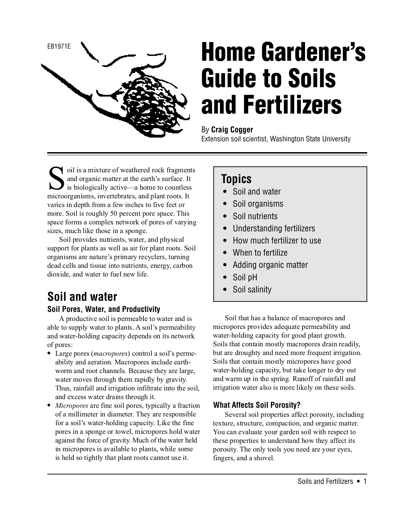

# **Home Gardener's Guide to Soils and Fertilizers**

### By **Craig Cogger**

Extension soil scientist, Washington State University

oil is a mixture of weathered rock fragments and organic matter at the earth's surface. It is biologically active—a home to countless microorganisms, invertebrates, and plant roots. It varies in depth from a few inches to five feet or more. Soil is roughly 50 percent pore space. This space forms a complex network of pores of varying sizes, much like those in a sponge.

Soil provides nutrients, water, and physical support for plants as well as air for plant roots. Soil organisms are nature's primary recyclers, turning dead cells and tissue into nutrients, energy, carbon dioxide, and water to fuel new life.

# **Soil and water**

### **Soil Pores, Water, and Productivity**

A productive soil is permeable to water and is able to supply water to plants. A soil's permeability and water-holding capacity depends on its network of pores:

- **•** Large pores (macropores) control a soil's permeability and aeration. Macropores include earthworm and root channels. Because they are large, water moves through them rapidly by gravity. Thus, rainfall and irrigation infiltrate into the soil, and excess water drains through it.
- *Micropores* are fine soil pores, typically a fraction of a millimeter in diameter. They are responsible for a soil's water-holding capacity. Like the fine pores in a sponge or towel, micropores hold water against the force of gravity. Much of the water held in micropores is available to plants, while some is held so tightly that plant roots cannot use it.

### **Topics**

- **•** Soil and water
- **•** Soil organisms
- **•** Soil nutrients
- **•** Understanding fertilizers
- **•** How much fertilizer to use
- **•** When to fertilize
- **•** Adding organic matter
- **•** Soil pH
- **•** Soil salinity

Soil that has a balance of macropores and micropores provides adequate permeability and water-holding capacity for good plant growth. Soils that contain mostly macropores drain readily, but are droughty and need more frequent irrigation. Soils that contain mostly micropores have good water-holding capacity, but take longer to dry out and warm up in the spring. Runoff of rainfall and irrigation water also is more likely on these soils.

### **What Affects Soil Porosity?**

Several soil properties affect porosity, including texture, structure, compaction, and organic matter. You can evaluate your garden soil with respect to these properties to understand how they affect its porosity. The only tools you need are your eyes, fingers, and a shovel.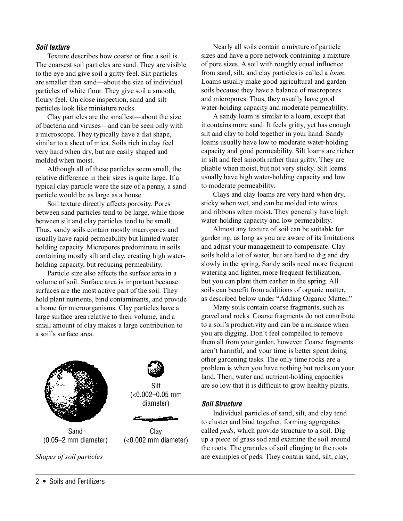### **Soil texture**

Texture describes how coarse or fine a soil is. The coarsest soil particles are sand. They are visible to the eye and give soil a gritty feel. Silt particles are smaller than sand—about the size of individual particles of white flour. They give soil a smooth, floury feel. On close inspection, sand and silt particles look like miniature rocks.

Clay particles are the smallest—about the size of bacteria and viruses—and can be seen only with a microscope. They typically have a flat shape, similar to a sheet of mica. Soils rich in clay feel very hard when dry, but are easily shaped and molded when moist.

Although all of these particles seem small, the relative difference in their sizes is quite large. If a typical clay particle were the size of a penny, a sand particle would be as large as a house.

Soil texture directly affects porosity. Pores between sand particles tend to be large, while those between silt and clay particles tend to be small. Thus, sandy soils contain mostly macropores and usually have rapid permeability but limited waterholding capacity. Micropores predominate in soils containing mostly silt and clay, creating high waterholding capacity, but reducing permeability.

Particle size also affects the surface area in a volume of soil. Surface area is important because surfaces are the most active part of the soil. They hold plant nutrients, bind contaminants, and provide a home for microorganisms. Clay particles have a large surface area relative to their volume, and a small amount of clay makes a large contribution to a soil's surface area.



(<0.002–0.05 mm

(<0.002 mm diameter)

Many soils contain coarse fragments, such as gravel and rocks. Coarse fragments do not contribute to a soil's productivity and can be a nuisance when you are digging. Don't feel compelled to remove

to moderate permeability.

them all from your garden, however. Coarse fragments aren't harmful, and your time is better spent doing other gardening tasks. The only time rocks are a problem is when you have nothing but rocks on your land. Then, water and nutrient-holding capacities are so low that it is difficult to grow healthy plants.

Nearly all soils contain a mixture of particle sizes and have a pore network containing a mixture of pore sizes. A soil with roughly equal influence from sand, silt, and clay particles is called a loam. Loams usually make good agricultural and garden soils because they have a balance of macropores and micropores. Thus, they usually have good water-holding capacity and moderate permeability. A sandy loam is similar to a loam, except that it contains more sand. It feels gritty, yet has enough silt and clay to hold together in your hand. Sandy loams usually have low to moderate water-holding capacity and good permeability. Silt loams are richer in silt and feel smooth rather than gritty. They are pliable when moist, but not very sticky. Silt loams usually have high water-holding capacity and low

Clays and clay loams are very hard when dry,

Almost any texture of soil can be suitable for gardening, as long as you are aware of its limitations and adjust your management to compensate. Clay soils hold a lot of water, but are hard to dig and dry slowly in the spring. Sandy soils need more frequent watering and lighter, more frequent fertilization, but you can plant them earlier in the spring. All soils can benefit from additions of organic matter, as described below under "Adding Organic Matter."

sticky when wet, and can be molded into wires and ribbons when moist. They generally have high water-holding capacity and low permeability.

#### **Soil Structure**

Individual particles of sand, silt, and clay tend to cluster and bind together, forming aggregates called peds, which provide structure to a soil. Dig up a piece of grass sod and examine the soil around the roots. The granules of soil clinging to the roots Shapes of soil particles are examples of peds. They contain sand, silt, clay,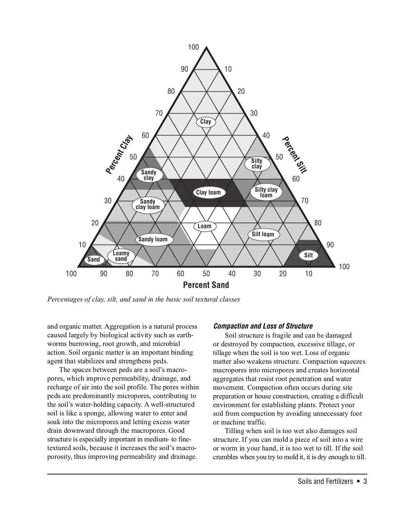

Percentages of clay, silt, and sand in the basic soil textural classes

and organic matter. Aggregation is a natural process caused largely by biological activity such as earthworms burrowing, root growth, and microbial action. Soil organic matter is an important binding agent that stabilizes and strengthens peds.

The spaces between peds are a soil's macropores, which improve permeability, drainage, and recharge of air into the soil profile. The pores within peds are predominantly micropores, contributing to the soil's water-holding capacity. A well-structured soil is like a sponge, allowing water to enter and soak into the micropores and letting excess water drain downward through the macropores. Good structure is especially important in medium- to finetextured soils, because it increases the soil's macroporosity, thus improving permeability and drainage.

#### **Compaction and Loss of Structure**

Soil structure is fragile and can be damaged or destroyed by compaction, excessive tillage, or tillage when the soil is too wet. Loss of organic matter also weakens structure. Compaction squeezes macropores into micropores and creates horizontal aggregates that resist root penetration and water movement. Compaction often occurs during site preparation or house construction, creating a difficult environment for establishing plants. Protect your soil from compaction by avoiding unnecessary foot or machine traffic.

Tilling when soil is too wet also damages soil structure. If you can mold a piece of soil into a wire or worm in your hand, it is too wet to till. If the soil crumbles when you try to mold it, it is dry enough to till.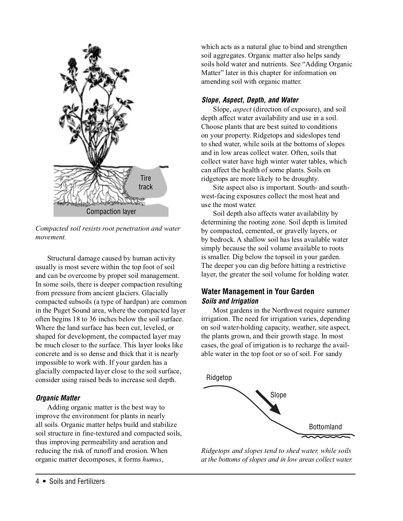

Compacted soil resists root penetration and water movement.

Structural damage caused by human activity usually is most severe within the top foot of soil and can be overcome by proper soil management. In some soils, there is deeper compaction resulting from pressure from ancient glaciers. Glacially compacted subsoils (a type of hardpan) are common in the Puget Sound area, where the compacted layer often begins 18 to 36 inches below the soil surface. Where the land surface has been cut, leveled, or shaped for development, the compacted layer may be much closer to the surface. This layer looks like concrete and is so dense and thick that it is nearly impossible to work with. If your garden has a glacially compacted layer close to the soil surface, consider using raised beds to increase soil depth.

### **Organic Matter**

Adding organic matter is the best way to improve the environment for plants in nearly all soils. Organic matter helps build and stabilize soil structure in fine-textured and compacted soils, thus improving permeability and aeration and reducing the risk of runoff and erosion. When organic matter decomposes, it forms humus,

which acts as a natural glue to bind and strengthen soil aggregates. Organic matter also helps sandy soils hold water and nutrients. See "Adding Organic Matter" later in this chapter for information on amending soil with organic matter.

### **Slope, Aspect, Depth, and Water**

Slope, aspect (direction of exposure), and soil depth affect water availability and use in a soil. Choose plants that are best suited to conditions on your property. Ridgetops and sideslopes tend to shed water, while soils at the bottoms of slopes and in low areas collect water. Often, soils that collect water have high winter water tables, which can affect the health of some plants. Soils on ridgetops are more likely to be droughty.

Site aspect also is important. South- and southwest-facing exposures collect the most heat and use the most water.

Soil depth also affects water availability by determining the rooting zone. Soil depth is limited by compacted, cemented, or gravelly layers, or by bedrock. A shallow soil has less available water simply because the soil volume available to roots is smaller. Dig below the topsoil in your garden. The deeper you can dig before hitting a restrictive layer, the greater the soil volume for holding water.

### **Water Management in Your Garden Soils and Irrigation**

Most gardens in the Northwest require summer irrigation. The need for irrigation varies, depending on soil water-holding capacity, weather, site aspect, the plants grown, and their growth stage. In most cases, the goal of irrigation is to recharge the available water in the top foot or so of soil. For sandy



Ridgetops and slopes tend to shed water, while soils at the bottoms of slopes and in low areas collect water.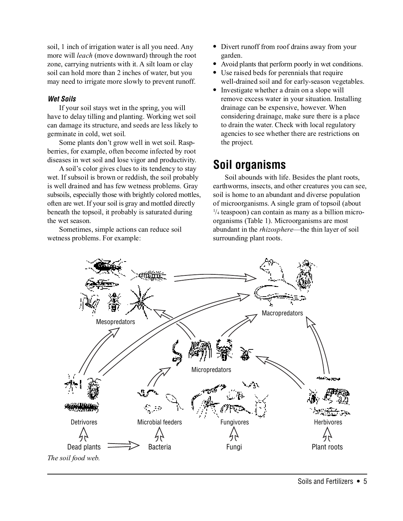soil, 1 inch of irrigation water is all you need. Any more will leach (move downward) through the root zone, carrying nutrients with it. A silt loam or clay soil can hold more than 2 inches of water, but you may need to irrigate more slowly to prevent runoff.

### **Wet Soils**

If your soil stays wet in the spring, you will have to delay tilling and planting. Working wet soil can damage its structure, and seeds are less likely to germinate in cold, wet soil.

Some plants don't grow well in wet soil. Raspberries, for example, often become infected by root diseases in wet soil and lose vigor and productivity.

A soil's color gives clues to its tendency to stay wet. If subsoil is brown or reddish, the soil probably is well drained and has few wetness problems. Gray subsoils, especially those with brightly colored mottles, often are wet. If your soil is gray and mottled directly beneath the topsoil, it probably is saturated during the wet season.

Sometimes, simple actions can reduce soil wetness problems. For example:

- Divert runoff from roof drains away from your garden.
- Avoid plants that perform poorly in wet conditions.
- **•** Use raised beds for perennials that require well-drained soil and for early-season vegetables.
- **•** Investigate whether a drain on a slope will remove excess water in your situation. Installing drainage can be expensive, however. When considering drainage, make sure there is a place to drain the water. Check with local regulatory agencies to see whether there are restrictions on the project.

# **Soil organisms**

Soil abounds with life. Besides the plant roots, earthworms, insects, and other creatures you can see, soil is home to an abundant and diverse population of microorganisms. A single gram of topsoil (about 1 /4 teaspoon) can contain as many as a billion microorganisms (Table 1). Microorganisms are most abundant in the rhizosphere—the thin layer of soil surrounding plant roots.

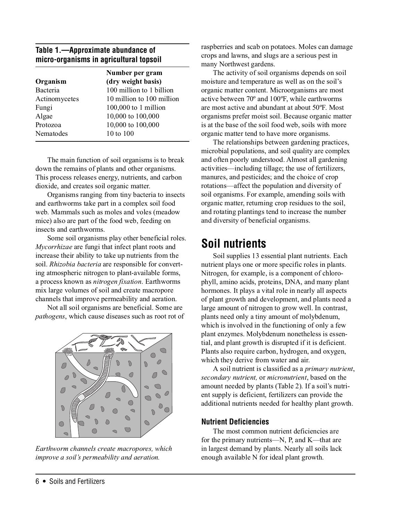### **Table 1.—Approximate abundance of micro-organisms in agricultural topsoil**

| Number per gram           |
|---------------------------|
| (dry weight basis)        |
| 100 million to 1 billion  |
| 10 million to 100 million |
| $100,000$ to 1 million    |
| 10,000 to 100,000         |
| 10,000 to 100,000         |
| 10 to 100                 |
|                           |

The main function of soil organisms is to break down the remains of plants and other organisms. This process releases energy, nutrients, and carbon dioxide, and creates soil organic matter.

Organisms ranging from tiny bacteria to insects and earthworms take part in a complex soil food web. Mammals such as moles and voles (meadow mice) also are part of the food web, feeding on insects and earthworms.

Some soil organisms play other beneficial roles. Mycorrhizae are fungi that infect plant roots and increase their ability to take up nutrients from the soil. Rhizobia bacteria are responsible for converting atmospheric nitrogen to plant-available forms, a process known as nitrogen fixation. Earthworms mix large volumes of soil and create macropore channels that improve permeability and aeration.

Not all soil organisms are beneficial. Some are pathogens, which cause diseases such as root rot of



Earthworm channels create macropores, which improve a soil's permeability and aeration.

raspberries and scab on potatoes. Moles can damage crops and lawns, and slugs are a serious pest in many Northwest gardens.

The activity of soil organisms depends on soil moisture and temperature as well as on the soil's organic matter content. Microorganisms are most active between 70º and 100ºF, while earthworms are most active and abundant at about 50ºF. Most organisms prefer moist soil. Because organic matter is at the base of the soil food web, soils with more organic matter tend to have more organisms.

The relationships between gardening practices, microbial populations, and soil quality are complex and often poorly understood. Almost all gardening activities—including tillage; the use of fertilizers, manures, and pesticides; and the choice of crop rotations—affect the population and diversity of soil organisms. For example, amending soils with organic matter, returning crop residues to the soil, and rotating plantings tend to increase the number and diversity of beneficial organisms.

### **Soil nutrients**

Soil supplies 13 essential plant nutrients. Each nutrient plays one or more specific roles in plants. Nitrogen, for example, is a component of chlorophyll, amino acids, proteins, DNA, and many plant hormones. It plays a vital role in nearly all aspects of plant growth and development, and plants need a large amount of nitrogen to grow well. In contrast, plants need only a tiny amount of molybdenum, which is involved in the functioning of only a few plant enzymes. Molybdenum nonetheless is essential, and plant growth is disrupted if it is deficient. Plants also require carbon, hydrogen, and oxygen, which they derive from water and air.

A soil nutrient is classified as a primary nutrient, secondary nutrient, or micronutrient, based on the amount needed by plants (Table 2). If a soil's nutrient supply is deficient, fertilizers can provide the additional nutrients needed for healthy plant growth.

### **Nutrient Deficiencies**

The most common nutrient deficiencies are for the primary nutrients—N, P, and K—that are in largest demand by plants. Nearly all soils lack enough available N for ideal plant growth.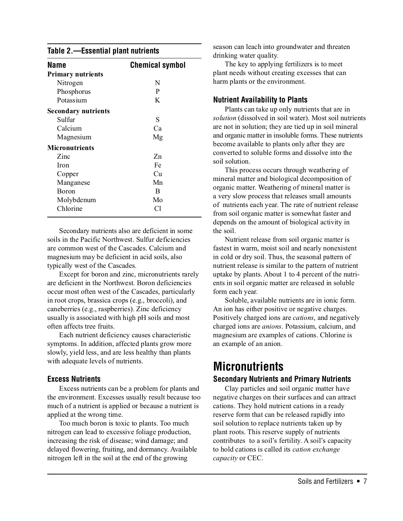#### **Table 2.—Essential plant nutrients**

| Name                       | <b>Chemical symbol</b> |
|----------------------------|------------------------|
| <b>Primary nutrients</b>   |                        |
| Nitrogen                   | N                      |
| Phosphorus                 | P                      |
| Potassium                  | K                      |
| <b>Secondary nutrients</b> |                        |
| Sulfur                     | S                      |
| Calcium                    | Ca                     |
| Magnesium                  | Mg                     |
| <b>Micronutrients</b>      |                        |
| Zinc                       | Zn                     |
| Iron                       | Fe                     |
| Copper                     | Cu                     |
| Manganese                  | Mn                     |
| <b>Boron</b>               | B                      |
| Molybdenum                 | Mo                     |
| Chlorine                   | Сl                     |

Secondary nutrients also are deficient in some soils in the Pacific Northwest. Sulfur deficiencies are common west of the Cascades. Calcium and magnesium may be deficient in acid soils, also typically west of the Cascades.

Except for boron and zinc, micronutrients rarely are deficient in the Northwest. Boron deficiencies occur most often west of the Cascades, particularly in root crops, brassica crops (e.g., broccoli), and caneberries (e.g., raspberries). Zinc deficiency usually is associated with high pH soils and most often affects tree fruits.

Each nutrient deficiency causes characteristic symptoms. In addition, affected plants grow more slowly, yield less, and are less healthy than plants with adequate levels of nutrients.

#### **Excess Nutrients**

Excess nutrients can be a problem for plants and the environment. Excesses usually result because too much of a nutrient is applied or because a nutrient is applied at the wrong time.

Too much boron is toxic to plants. Too much nitrogen can lead to excessive foliage production, increasing the risk of disease; wind damage; and delayed flowering, fruiting, and dormancy. Available nitrogen left in the soil at the end of the growing

season can leach into groundwater and threaten drinking water quality.

The key to applying fertilizers is to meet plant needs without creating excesses that can harm plants or the environment.

### **Nutrient Availability to Plants**

Plants can take up only nutrients that are in solution (dissolved in soil water). Most soil nutrients are not in solution; they are tied up in soil mineral and organic matter in insoluble forms. These nutrients become available to plants only after they are converted to soluble forms and dissolve into the soil solution.

This process occurs through weathering of mineral matter and biological decomposition of organic matter. Weathering of mineral matter is a very slow process that releases small amounts of nutrients each year. The rate of nutrient release from soil organic matter is somewhat faster and depends on the amount of biological activity in the soil.

Nutrient release from soil organic matter is fastest in warm, moist soil and nearly nonexistent in cold or dry soil. Thus, the seasonal pattern of nutrient release is similar to the pattern of nutrient uptake by plants. About 1 to 4 percent of the nutrients in soil organic matter are released in soluble form each year.

Soluble, available nutrients are in ionic form. An ion has either positive or negative charges. Positively charged ions are cations, and negatively charged ions are anions. Potassium, calcium, and magnesium are examples of cations. Chlorine is an example of an anion.

# **Micronutrients**

#### **Secondary Nutrients and Primary Nutrients**

Clay particles and soil organic matter have negative charges on their surfaces and can attract cations. They hold nutrient cations in a ready reserve form that can be released rapidly into soil solution to replace nutrients taken up by plant roots. This reserve supply of nutrients contributes to a soil's fertility. A soil's capacity to hold cations is called its cation exchange capacity or CEC.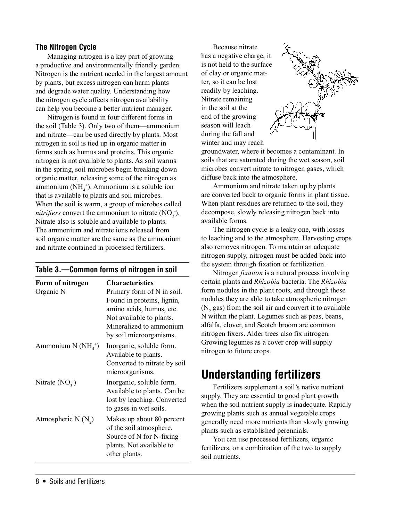### **The Nitrogen Cycle**

Managing nitrogen is a key part of growing a productive and environmentally friendly garden. Nitrogen is the nutrient needed in the largest amount by plants, but excess nitrogen can harm plants and degrade water quality. Understanding how the nitrogen cycle affects nitrogen availability can help you become a better nutrient manager.

Nitrogen is found in four different forms in the soil (Table 3). Only two of them—ammonium and nitrate—can be used directly by plants. Most nitrogen in soil is tied up in organic matter in forms such as humus and proteins. This organic nitrogen is not available to plants. As soil warms in the spring, soil microbes begin breaking down organic matter, releasing some of the nitrogen as ammonium  $(NH_4^+)$ . Ammonium is a soluble ion that is available to plants and soil microbes. When the soil is warm, a group of microbes called *nitrifiers* convert the ammonium to nitrate  $(NO_3^-)$ . Nitrate also is soluble and available to plants. The ammonium and nitrate ions released from soil organic matter are the same as the ammonium and nitrate contained in processed fertilizers.

### **Table 3.—Common forms of nitrogen in soil**

| Form of nitrogen      | <b>Characteristics</b>                                                                                                                                                 |
|-----------------------|------------------------------------------------------------------------------------------------------------------------------------------------------------------------|
| Organic N             | Primary form of N in soil.<br>Found in proteins, lignin,<br>amino acids, humus, etc.<br>Not available to plants.<br>Mineralized to ammonium<br>by soil microorganisms. |
| Ammonium N $(NH4+)$   | Inorganic, soluble form.<br>Available to plants.<br>Converted to nitrate by soil<br>microorganisms.                                                                    |
| Nitrate $(NO_3^-)$    | Inorganic, soluble form.<br>Available to plants. Can be<br>lost by leaching. Converted<br>to gases in wet soils.                                                       |
| Atmospheric N $(N_2)$ | Makes up about 80 percent<br>of the soil atmosphere.<br>Source of N for N-fixing<br>plants. Not available to<br>other plants.                                          |

Because nitrate has a negative charge, it is not held to the surface of clay or organic matter, so it can be lost readily by leaching. Nitrate remaining in the soil at the end of the growing season will leach during the fall and winter and may reach



groundwater, where it becomes a contaminant. In soils that are saturated during the wet season, soil microbes convert nitrate to nitrogen gases, which diffuse back into the atmosphere.

Ammonium and nitrate taken up by plants are converted back to organic forms in plant tissue. When plant residues are returned to the soil, they decompose, slowly releasing nitrogen back into available forms.

The nitrogen cycle is a leaky one, with losses to leaching and to the atmosphere. Harvesting crops also removes nitrogen. To maintain an adequate nitrogen supply, nitrogen must be added back into the system through fixation or fertilization.

Nitrogen *fixation* is a natural process involving certain plants and Rhizobia bacteria. The Rhizobia form nodules in the plant roots, and through these nodules they are able to take atmospheric nitrogen  $(N_2$  gas) from the soil air and convert it to available N within the plant. Legumes such as peas, beans, alfalfa, clover, and Scotch broom are common nitrogen fixers. Alder trees also fix nitrogen. Growing legumes as a cover crop will supply nitrogen to future crops.

### **Understanding fertilizers**

Fertilizers supplement a soil's native nutrient supply. They are essential to good plant growth when the soil nutrient supply is inadequate. Rapidly growing plants such as annual vegetable crops generally need more nutrients than slowly growing plants such as established perennials.

You can use processed fertilizers, organic fertilizers, or a combination of the two to supply soil nutrients.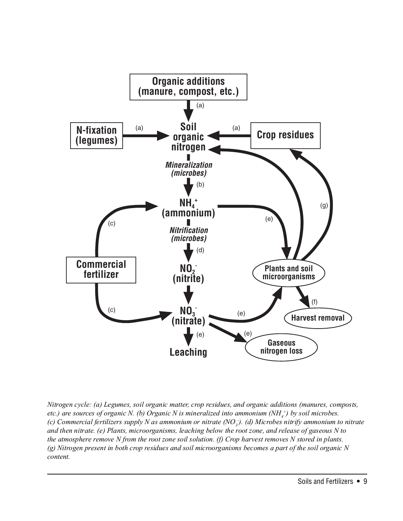

Nitrogen cycle: (a) Legumes, soil organic matter, crop residues, and organic additions (manures, composts, etc.) are sources of organic N. (b) Organic N is mineralized into ammonium (NH $_4^{\rm +}$ ) by soil microbes. (c) Commercial fertilizers supply N as ammonium or nitrate (NO<sub>3</sub>). (d) Microbes nitrify ammonium to nitrate and then nitrate. (e) Plants, microorganisms, leaching below the root zone, and release of gaseous N to the atmosphere remove N from the root zone soil solution. (f) Crop harvest removes N stored in plants. (g) Nitrogen present in both crop residues and soil microorganisms becomes a part of the soil organic N content.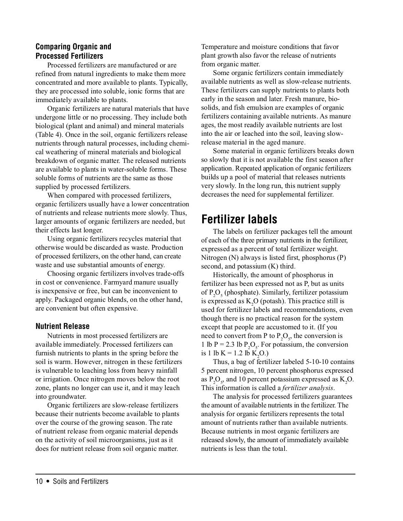### **Comparing Organic and Processed Fertilizers**

Processed fertilizers are manufactured or are refined from natural ingredients to make them more concentrated and more available to plants. Typically, they are processed into soluble, ionic forms that are immediately available to plants.

Organic fertilizers are natural materials that have undergone little or no processing. They include both biological (plant and animal) and mineral materials (Table 4). Once in the soil, organic fertilizers release nutrients through natural processes, including chemical weathering of mineral materials and biological breakdown of organic matter. The released nutrients are available to plants in water-soluble forms. These soluble forms of nutrients are the same as those supplied by processed fertilizers.

When compared with processed fertilizers, organic fertilizers usually have a lower concentration of nutrients and release nutrients more slowly. Thus, larger amounts of organic fertilizers are needed, but their effects last longer.

Using organic fertilizers recycles material that otherwise would be discarded as waste. Production of processed fertilizers, on the other hand, can create waste and use substantial amounts of energy.

Choosing organic fertilizers involves trade-offs in cost or convenience. Farmyard manure usually is inexpensive or free, but can be inconvenient to apply. Packaged organic blends, on the other hand, are convenient but often expensive.

### **Nutrient Release**

Nutrients in most processed fertilizers are available immediately. Processed fertilizers can furnish nutrients to plants in the spring before the soil is warm. However, nitrogen in these fertilizers is vulnerable to leaching loss from heavy rainfall or irrigation. Once nitrogen moves below the root zone, plants no longer can use it, and it may leach into groundwater.

Organic fertilizers are slow-release fertilizers because their nutrients become available to plants over the course of the growing season. The rate of nutrient release from organic material depends on the activity of soil microorganisms, just as it does for nutrient release from soil organic matter.

Temperature and moisture conditions that favor plant growth also favor the release of nutrients from organic matter.

Some organic fertilizers contain immediately available nutrients as well as slow-release nutrients. These fertilizers can supply nutrients to plants both early in the season and later. Fresh manure, biosolids, and fish emulsion are examples of organic fertilizers containing available nutrients. As manure ages, the most readily available nutrients are lost into the air or leached into the soil, leaving slowrelease material in the aged manure.

Some material in organic fertilizers breaks down so slowly that it is not available the first season after application. Repeated application of organic fertilizers builds up a pool of material that releases nutrients very slowly. In the long run, this nutrient supply decreases the need for supplemental fertilizer.

### **Fertilizer labels**

The labels on fertilizer packages tell the amount of each of the three primary nutrients in the fertilizer, expressed as a percent of total fertilizer weight. Nitrogen (N) always is listed first, phosphorus (P) second, and potassium (K) third.

Historically, the amount of phosphorus in fertilizer has been expressed not as P, but as units of P<sub>2</sub>O<sub>5</sub> (phosphate). Similarly, fertilizer potassium is expressed as  $K_2O$  (potash). This practice still is used for fertilizer labels and recommendations, even though there is no practical reason for the system except that people are accustomed to it. (If you need to convert from P to  $P_2O_5$ , the conversion is 1 lb P = 2.3 lb  $P_2O_5$ . For potassium, the conversion is 1 lb K = 1.2 lb K<sub>2</sub>O.)

Thus, a bag of fertilizer labeled 5-10-10 contains 5 percent nitrogen, 10 percent phosphorus expressed as  $P_2O_5$ , and 10 percent potassium expressed as  $K_2O$ . This information is called a *fertilizer analysis*.

The analysis for processed fertilizers guarantees the amount of available nutrients in the fertilizer. The analysis for organic fertilizers represents the total amount of nutrients rather than available nutrients. Because nutrients in most organic fertilizers are released slowly, the amount of immediately available nutrients is less than the total.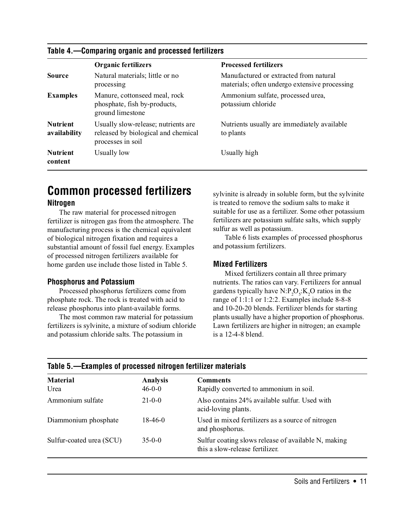### **Table 4.—Comparing organic and processed fertilizers**

|                                 | <b>Organic fertilizers</b>                                                                      | <b>Processed fertilizers</b>                                                            |
|---------------------------------|-------------------------------------------------------------------------------------------------|-----------------------------------------------------------------------------------------|
| <b>Source</b>                   | Natural materials; little or no<br>processing                                                   | Manufactured or extracted from natural<br>materials; often undergo extensive processing |
| <b>Examples</b>                 | Manure, cottonseed meal, rock<br>phosphate, fish by-products,<br>ground limestone               | Ammonium sulfate, processed urea,<br>potassium chloride                                 |
| <b>Nutrient</b><br>availability | Usually slow-release; nutrients are<br>released by biological and chemical<br>processes in soil | Nutrients usually are immediately available<br>to plants                                |
| <b>Nutrient</b><br>content      | Usually low                                                                                     | Usually high                                                                            |

### **Common processed fertilizers**

### **Nitrogen**

The raw material for processed nitrogen fertilizer is nitrogen gas from the atmosphere. The manufacturing process is the chemical equivalent of biological nitrogen fixation and requires a substantial amount of fossil fuel energy. Examples of processed nitrogen fertilizers available for home garden use include those listed in Table 5.

#### **Phosphorus and Potassium**

Processed phosphorus fertilizers come from phosphate rock. The rock is treated with acid to release phosphorus into plant-available forms.

The most common raw material for potassium fertilizers is sylvinite, a mixture of sodium chloride and potassium chloride salts. The potassium in

sylvinite is already in soluble form, but the sylvinite is treated to remove the sodium salts to make it suitable for use as a fertilizer. Some other potassium fertilizers are potassium sulfate salts, which supply sulfur as well as potassium.

Table 6 lists examples of processed phosphorus and potassium fertilizers.

### **Mixed Fertilizers**

Mixed fertilizers contain all three primary nutrients. The ratios can vary. Fertilizers for annual gardens typically have  $N: P_2O_S:K_2O$  ratios in the range of 1:1:1 or 1:2:2. Examples include 8-8-8 and 10-20-20 blends. Fertilizer blends for starting plants usually have a higher proportion of phosphorus. Lawn fertilizers are higher in nitrogen; an example is a 12-4-8 blend.

| Table 3.—Examples of processed introgen refuncer materials |                                                                                        |  |
|------------------------------------------------------------|----------------------------------------------------------------------------------------|--|
| <b>Analysis</b><br>$46 - 0 - 0$                            | <b>Comments</b><br>Rapidly converted to ammonium in soil.                              |  |
| $21 - 0 - 0$                                               | Also contains 24% available sulfur. Used with<br>acid-loving plants.                   |  |
| 18-46-0                                                    | Used in mixed fertilizers as a source of nitrogen<br>and phosphorus.                   |  |
| $35-0-0$                                                   | Sulfur coating slows release of available N, making<br>this a slow-release fertilizer. |  |
|                                                            |                                                                                        |  |

### **Table 5.—Examples of processed nitrogen fertilizer materials**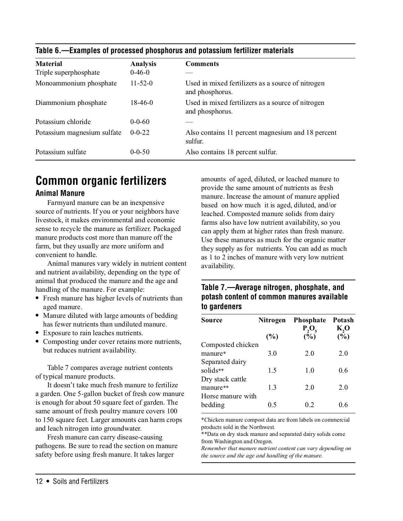| <b>Material</b>             | <b>Analysis</b> | <b>Comments</b>                                                      |
|-----------------------------|-----------------|----------------------------------------------------------------------|
| Triple superphosphate       | $0-46-0$        |                                                                      |
| Monoammonium phosphate      | $11 - 52 - 0$   | Used in mixed fertilizers as a source of nitrogen<br>and phosphorus. |
| Diammonium phosphate        | $18-46-0$       | Used in mixed fertilizers as a source of nitrogen<br>and phosphorus. |
| Potassium chloride          | $0 - 0 - 60$    |                                                                      |
| Potassium magnesium sulfate | $0 - 0 - 22$    | Also contains 11 percent magnesium and 18 percent<br>sulfur.         |
| Potassium sulfate           | $0 - 0 - 50$    | Also contains 18 percent sulfur.                                     |

### **Table 6.—Examples of processed phosphorus and potassium fertilizer materials**

### **Common organic fertilizers**

### **Animal Manure**

Farmyard manure can be an inexpensive source of nutrients. If you or your neighbors have livestock, it makes environmental and economic sense to recycle the manure as fertilizer. Packaged manure products cost more than manure off the farm, but they usually are more uniform and convenient to handle.

Animal manures vary widely in nutrient content and nutrient availability, depending on the type of animal that produced the manure and the age and handling of the manure. For example:

- **•** Fresh manure has higher levels of nutrients than aged manure.
- Manure diluted with large amounts of bedding has fewer nutrients than undiluted manure.
- **•** Exposure to rain leaches nutrients.
- **•** Composting under cover retains more nutrients, but reduces nutrient availability.

Table 7 compares average nutrient contents of typical manure products.

It doesn't take much fresh manure to fertilize a garden. One 5-gallon bucket of fresh cow manure is enough for about 50 square feet of garden. The same amount of fresh poultry manure covers 100 to 150 square feet. Larger amounts can harm crops and leach nitrogen into groundwater.

Fresh manure can carry disease-causing pathogens. Be sure to read the section on manure safety before using fresh manure. It takes larger

amounts of aged, diluted, or leached manure to provide the same amount of nutrients as fresh manure. Increase the amount of manure applied based on how much it is aged, diluted, and/or leached. Composted manure solids from dairy farms also have low nutrient availability, so you can apply them at higher rates than fresh manure. Use these manures as much for the organic matter they supply as for nutrients. You can add as much as 1 to 2 inches of manure with very low nutrient availability.

### **Table 7.—Average nitrogen, phosphate, and potash content of common manures available to gardeners**

| <b>Source</b>     | <b>Nitrogen</b> | <b>Phosphate</b><br>$P_2O_5$ | Potash<br>K,O |
|-------------------|-----------------|------------------------------|---------------|
|                   | (%)             | (%)                          | $(\bar{\%})$  |
| Composted chicken |                 |                              |               |
| manure*           | 3.0             | 2.0                          | 2.0           |
| Separated dairy   |                 |                              |               |
| solids**          | 1.5             | 1.0                          | 0.6           |
| Dry stack cattle  |                 |                              |               |
| manure**          | 1.3             | 2.0                          | 2.0           |
| Horse manure with |                 |                              |               |
| bedding           | 0.5             | 02                           | 06            |

\*Chicken manure compost data are from labels on commercial products sold in the Northwest.

\*\*Data on dry stack manure and separated dairy solids come from Washington and Oregon.

Remember that manure nutrient content can vary depending on the source and the age and handling of the manure.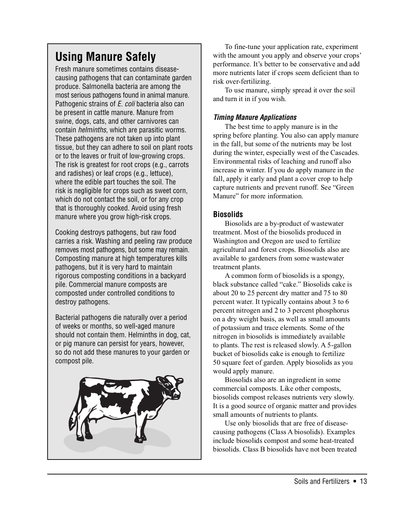# **Using Manure Safely**

Fresh manure sometimes contains diseasecausing pathogens that can contaminate garden produce. Salmonella bacteria are among the most serious pathogens found in animal manure. Pathogenic strains of E. coli bacteria also can be present in cattle manure. Manure from swine, dogs, cats, and other carnivores can contain helminths, which are parasitic worms. These pathogens are not taken up into plant tissue, but they can adhere to soil on plant roots or to the leaves or fruit of low-growing crops. The risk is greatest for root crops (e.g., carrots and radishes) or leaf crops (e.g., lettuce), where the edible part touches the soil. The risk is negligible for crops such as sweet corn, which do not contact the soil, or for any crop that is thoroughly cooked. Avoid using fresh manure where you grow high-risk crops.

Cooking destroys pathogens, but raw food carries a risk. Washing and peeling raw produce removes most pathogens, but some may remain. Composting manure at high temperatures kills pathogens, but it is very hard to maintain rigorous composting conditions in a backyard pile. Commercial manure composts are composted under controlled conditions to destroy pathogens.

Bacterial pathogens die naturally over a period of weeks or months, so well-aged manure should not contain them. Helminths in dog, cat, or pig manure can persist for years, however, so do not add these manures to your garden or compost pile.



To fine-tune your application rate, experiment with the amount you apply and observe your crops' performance. It's better to be conservative and add more nutrients later if crops seem deficient than to risk over-fertilizing.

To use manure, simply spread it over the soil and turn it in if you wish.

### **Timing Manure Applications**

The best time to apply manure is in the spring before planting. You also can apply manure in the fall, but some of the nutrients may be lost during the winter, especially west of the Cascades. Environmental risks of leaching and runoff also increase in winter. If you do apply manure in the fall, apply it early and plant a cover crop to help capture nutrients and prevent runoff. See "Green Manure" for more information.

### **Biosolids**

Biosolids are a by-product of wastewater treatment. Most of the biosolids produced in Washington and Oregon are used to fertilize agricultural and forest crops. Biosolids also are available to gardeners from some wastewater treatment plants.

A common form of biosolids is a spongy, black substance called "cake." Biosolids cake is about 20 to 25 percent dry matter and 75 to 80 percent water. It typically contains about 3 to 6 percent nitrogen and 2 to 3 percent phosphorus on a dry weight basis, as well as small amounts of potassium and trace elements. Some of the nitrogen in biosolids is immediately available to plants. The rest is released slowly. A 5-gallon bucket of biosolids cake is enough to fertilize 50 square feet of garden. Apply biosolids as you would apply manure.

Biosolids also are an ingredient in some commercial composts. Like other composts, biosolids compost releases nutrients very slowly. It is a good source of organic matter and provides small amounts of nutrients to plants.

Use only biosolids that are free of diseasecausing pathogens (Class A biosolids). Examples include biosolids compost and some heat-treated biosolids. Class B biosolids have not been treated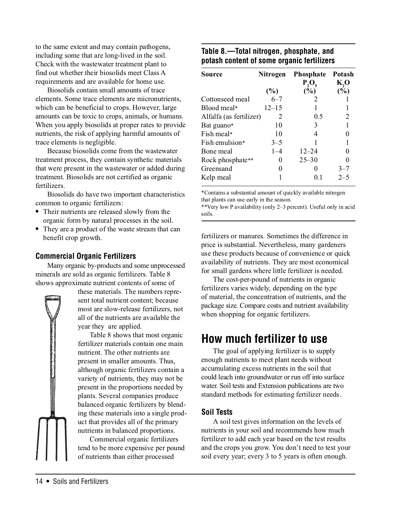to the same extent and may contain pathogens, including some that are long-lived in the soil. Check with the wastewater treatment plant to find out whether their biosolids meet Class A requirements and are available for home use.

Biosolids contain small amounts of trace elements. Some trace elements are micronutrients, which can be beneficial to crops. However, large amounts can be toxic to crops, animals, or humans. When you apply biosolids at proper rates to provide nutrients, the risk of applying harmful amounts of trace elements is negligible.

Because biosolids come from the wastewater treatment process, they contain synthetic materials that were present in the wastewater or added during treatment. Biosolids are not certified as organic fertilizers.

Biosolids do have two important characteristics common to organic fertilizers:

- **•** Their nutrients are released slowly from the organic form by natural processes in the soil.
- **•** They are a product of the waste stream that can benefit crop growth.

### **Commercial Organic Fertilizers**

Many organic by-products and some unprocessed minerals are sold as organic fertilizers. Table 8 shows approximate nutrient contents of some of



these materials. The numbers represent total nutrient content; because most are slow-release fertilizers, not all of the nutrients are available the year they are applied.

Table 8 shows that most organic fertilizer materials contain one main nutrient. The other nutrients are present in smaller amounts. Thus, although organic fertilizers contain a variety of nutrients, they may not be present in the proportions needed by plants. Several companies produce balanced organic fertilizers by blending these materials into a single product that provides all of the primary nutrients in balanced proportions.

Commercial organic fertilizers tend to be more expensive per pound of nutrients than either processed

### **Table 8.—Total nitrogen, phosphate, and potash content of some organic fertilizers**

| Source                  | Nitrogen  | <b>Phosphate</b><br>$P_2O_5$ | <b>Potash</b><br>K,O |
|-------------------------|-----------|------------------------------|----------------------|
|                         | $(\%)$    | $(\%)$                       | $(\%)$               |
| Cottonseed meal         | $6 - 7$   | $\mathcal{D}_{\mathcal{L}}$  |                      |
| Blood meal*             | $12 - 15$ |                              |                      |
| Alfalfa (as fertilizer) | 2         | 0.5                          | 2                    |
| Bat guano*              | 10        | 3                            |                      |
| Fish meal*              | 10        | 4                            |                      |
| Fish emulsion*          | $3 - 5$   |                              |                      |
| Bone meal               | $1 - 4$   | $12 - 24$                    | 0                    |
| Rock phosphate**        | 0         | $25 - 30$                    |                      |
| Greensand               | $\theta$  | $\mathbf{0}$                 | $3 - 7$              |
| Kelp meal               |           | 0. I                         | $2 - 5$              |

\*Contains a substantial amount of quickly available nitrogen that plants can use early in the season.

\*\*Very low P availability (only 2–3 percent). Useful only in acid soils.

fertilizers or manures. Sometimes the difference in price is substantial. Nevertheless, many gardeners use these products because of convenience or quick availability of nutrients. They are most economical for small gardens where little fertilizer is needed.

The cost-per-pound of nutrients in organic fertilizers varies widely, depending on the type of material, the concentration of nutrients, and the package size. Compare costs and nutrient availability when shopping for organic fertilizers.

### **How much fertilizer to use**

The goal of applying fertilizer is to supply enough nutrients to meet plant needs without accumulating excess nutrients in the soil that could leach into groundwater or run off into surface water. Soil tests and Extension publications are two standard methods for estimating fertilizer needs.

### **Soil Tests**

A soil test gives information on the levels of nutrients in your soil and recommends how much fertilizer to add each year based on the test results and the crops you grow. You don't need to test your soil every year; every 3 to 5 years is often enough.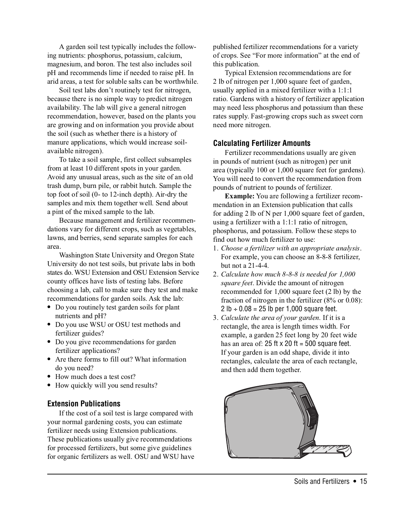A garden soil test typically includes the following nutrients: phosphorus, potassium, calcium, magnesium, and boron. The test also includes soil pH and recommends lime if needed to raise pH. In arid areas, a test for soluble salts can be worthwhile.

Soil test labs don't routinely test for nitrogen, because there is no simple way to predict nitrogen availability. The lab will give a general nitrogen recommendation, however, based on the plants you are growing and on information you provide about the soil (such as whether there is a history of manure applications, which would increase soilavailable nitrogen).

To take a soil sample, first collect subsamples from at least 10 different spots in your garden. Avoid any unusual areas, such as the site of an old trash dump, burn pile, or rabbit hutch. Sample the top foot of soil (0- to 12-inch depth). Air-dry the samples and mix them together well. Send about a pint of the mixed sample to the lab.

Because management and fertilizer recommendations vary for different crops, such as vegetables, lawns, and berries, send separate samples for each area.

Washington State University and Oregon State University do not test soils, but private labs in both states do. WSU Extension and OSU Extension Service county offices have lists of testing labs. Before choosing a lab, call to make sure they test and make recommendations for garden soils. Ask the lab:

- **•** Do you routinely test garden soils for plant nutrients and pH?
- **•** Do you use WSU or OSU test methods and fertilizer guides?
- **•** Do you give recommendations for garden fertilizer applications?
- Are there forms to fill out? What information do you need?
- **•** How much does a test cost?
- **•** How quickly will you send results?

### **Extension Publications**

If the cost of a soil test is large compared with your normal gardening costs, you can estimate fertilizer needs using Extension publications. These publications usually give recommendations for processed fertilizers, but some give guidelines for organic fertilizers as well. OSU and WSU have

published fertilizer recommendations for a variety of crops. See "For more information" at the end of this publication.

Typical Extension recommendations are for 2 lb of nitrogen per 1,000 square feet of garden, usually applied in a mixed fertilizer with a 1:1:1 ratio. Gardens with a history of fertilizer application may need less phosphorus and potassium than these rates supply. Fast-growing crops such as sweet corn need more nitrogen.

### **Calculating Fertilizer Amounts**

Fertilizer recommendations usually are given in pounds of nutrient (such as nitrogen) per unit area (typically 100 or 1,000 square feet for gardens). You will need to convert the recommendation from pounds of nutrient to pounds of fertilizer.

Example: You are following a fertilizer recommendation in an Extension publication that calls for adding 2 lb of N per 1,000 square feet of garden, using a fertilizer with a 1:1:1 ratio of nitrogen, phosphorus, and potassium. Follow these steps to find out how much fertilizer to use:

- 1. Choose a fertilizer with an appropriate analysis. For example, you can choose an 8-8-8 fertilizer, but not a 21-4-4.
- 2. Calculate how much 8-8-8 is needed for 1,000 square feet. Divide the amount of nitrogen recommended for 1,000 square feet (2 lb) by the fraction of nitrogen in the fertilizer (8% or 0.08): 2 lb  $\div$  0.08 = 25 lb per 1,000 square feet.
- 3. Calculate the area of your garden. If it is a rectangle, the area is length times width. For example, a garden 25 feet long by 20 feet wide has an area of: 25 ft  $\times$  20 ft = 500 square feet. If your garden is an odd shape, divide it into rectangles, calculate the area of each rectangle, and then add them together.

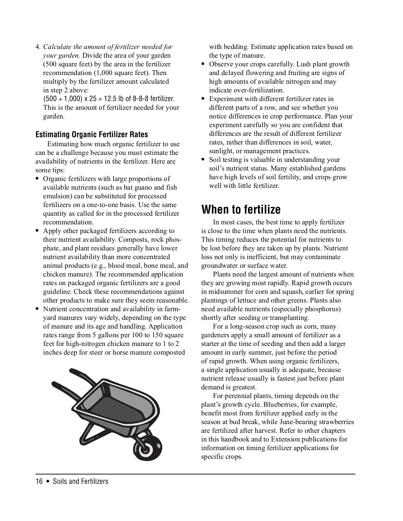4. Calculate the amount of fertilizer needed for your garden. Divide the area of your garden (500 square feet) by the area in the fertilizer recommendation (1,000 square feet). Then multiply by the fertilizer amount calculated in step 2 above:

 $(500 \div 1,000) \times 25 = 12.5$  lb of 8-8-8 fertilizer. This is the amount of fertilizer needed for your garden.

### **Estimating Organic Fertilizer Rates**

Estimating how much organic fertilizer to use can be a challenge because you must estimate the availability of nutrients in the fertilizer. Here are some tips:

- **•** Organic fertilizers with large proportions of available nutrients (such as bat guano and fish emulsion) can be substituted for processed fertilizers on a one-to-one basis. Use the same quantity as called for in the processed fertilizer recommendation.
- Apply other packaged fertilizers according to their nutrient availability. Composts, rock phosphate, and plant residues generally have lower nutrient availability than more concentrated animal products (e.g., blood meal, bone meal, and chicken manure). The recommended application rates on packaged organic fertilizers are a good guideline. Check these recommendations against other products to make sure they seem reasonable.
- **•** Nutrient concentration and availability in farmyard manures vary widely, depending on the type of manure and its age and handling. Application rates range from 5 gallons per 100 to 150 square feet for high-nitrogen chicken manure to 1 to 2 inches deep for steer or horse manure composted



with bedding. Estimate application rates based on the type of manure.

- **•** Observe your crops carefully. Lush plant growth and delayed flowering and fruiting are signs of high amounts of available nitrogen and may indicate over-fertilization.
- **•** Experiment with different fertilizer rates in different parts of a row, and see whether you notice differences in crop performance. Plan your experiment carefully so you are confident that differences are the result of different fertilizer rates, rather than differences in soil, water, sunlight, or management practices.
- Soil testing is valuable in understanding your soil's nutrient status. Many established gardens have high levels of soil fertility, and crops grow well with little fertilizer.

### **When to fertilize**

In most cases, the best time to apply fertilizer is close to the time when plants need the nutrients. This timing reduces the potential for nutrients to be lost before they are taken up by plants. Nutrient loss not only is inefficient, but may contaminate groundwater or surface water.

Plants need the largest amount of nutrients when they are growing most rapidly. Rapid growth occurs in midsummer for corn and squash, earlier for spring plantings of lettuce and other greens. Plants also need available nutrients (especially phosphorus) shortly after seeding or transplanting.

For a long-season crop such as corn, many gardeners apply a small amount of fertilizer as a starter at the time of seeding and then add a larger amount in early summer, just before the period of rapid growth. When using organic fertilizers, a single application usually is adequate, because nutrient release usually is fastest just before plant demand is greatest.

For perennial plants, timing depends on the plant's growth cycle. Blueberries, for example, benefit most from fertilizer applied early in the season at bud break, while June-bearing strawberries are fertilized after harvest. Refer to other chapters in this handbook and to Extension publications for information on timing fertilizer applications for specific crops.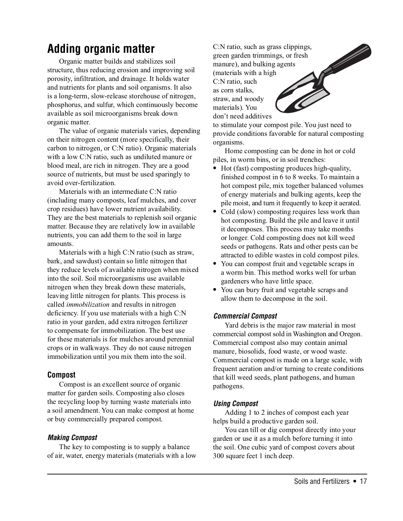# **Adding organic matter**

Organic matter builds and stabilizes soil structure, thus reducing erosion and improving soil porosity, infiltration, and drainage. It holds water and nutrients for plants and soil organisms. It also is a long-term, slow-release storehouse of nitrogen, phosphorus, and sulfur, which continuously become available as soil microorganisms break down organic matter.

The value of organic materials varies, depending on their nitrogen content (more specifically, their carbon to nitrogen, or C:N ratio). Organic materials with a low C:N ratio, such as undiluted manure or blood meal, are rich in nitrogen. They are a good source of nutrients, but must be used sparingly to avoid over-fertilization.

Materials with an intermediate C:N ratio (including many composts, leaf mulches, and cover crop residues) have lower nutrient availability. They are the best materials to replenish soil organic matter. Because they are relatively low in available nutrients, you can add them to the soil in large amounts.

Materials with a high C:N ratio (such as straw, bark, and sawdust) contain so little nitrogen that they reduce levels of available nitrogen when mixed into the soil. Soil microorganisms use available nitrogen when they break down these materials, leaving little nitrogen for plants. This process is called immobilization and results in nitrogen deficiency. If you use materials with a high C:N ratio in your garden, add extra nitrogen fertilizer to compensate for immobilization. The best use for these materials is for mulches around perennial crops or in walkways. They do not cause nitrogen immobilization until you mix them into the soil.

### **Compost**

Compost is an excellent source of organic matter for garden soils. Composting also closes the recycling loop by turning waste materials into a soil amendment. You can make compost at home or buy commercially prepared compost.

### **Making Compost**

The key to composting is to supply a balance of air, water, energy materials (materials with a low

C:N ratio, such as grass clippings, green garden trimmings, or fresh manure), and bulking agents (materials with a high C:N ratio, such as corn stalks, straw, and woody materials). You don't need additives

to stimulate your compost pile. You just need to provide conditions favorable for natural composting organisms.

Home composting can be done in hot or cold piles, in worm bins, or in soil trenches:

- **•** Hot (fast) composting produces high-quality, finished compost in 6 to 8 weeks. To maintain a hot compost pile, mix together balanced volumes of energy materials and bulking agents, keep the pile moist, and turn it frequently to keep it aerated.
- Cold (slow) composting requires less work than hot composting. Build the pile and leave it until it decomposes. This process may take months or longer. Cold composting does not kill weed seeds or pathogens. Rats and other pests can be attracted to edible wastes in cold compost piles.
- **•** You can compost fruit and vegetable scraps in a worm bin. This method works well for urban gardeners who have little space.
- **•** You can bury fruit and vegetable scraps and allow them to decompose in the soil.

### **Commercial Compost**

Yard debris is the major raw material in most commercial compost sold in Washington and Oregon. Commercial compost also may contain animal manure, biosolids, food waste, or wood waste. Commercial compost is made on a large scale, with frequent aeration and/or turning to create conditions that kill weed seeds, plant pathogens, and human pathogens.

### **Using Compost**

Adding 1 to 2 inches of compost each year helps build a productive garden soil.

You can till or dig compost directly into your garden or use it as a mulch before turning it into the soil. One cubic yard of compost covers about 300 square feet 1 inch deep.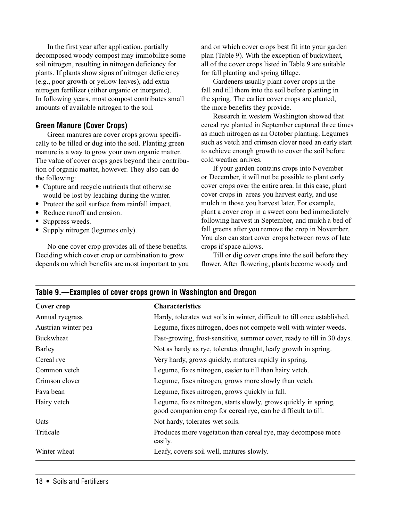In the first year after application, partially decomposed woody compost may immobilize some soil nitrogen, resulting in nitrogen deficiency for plants. If plants show signs of nitrogen deficiency (e.g., poor growth or yellow leaves), add extra nitrogen fertilizer (either organic or inorganic). In following years, most compost contributes small amounts of available nitrogen to the soil.

### **Green Manure (Cover Crops)**

Green manures are cover crops grown specifically to be tilled or dug into the soil. Planting green manure is a way to grow your own organic matter. The value of cover crops goes beyond their contribution of organic matter, however. They also can do the following:

- **•** Capture and recycle nutrients that otherwise would be lost by leaching during the winter.
- Protect the soil surface from rainfall impact.
- **•** Reduce runoff and erosion.
- **•** Suppress weeds.
- **•** Supply nitrogen (legumes only).

No one cover crop provides all of these benefits. Deciding which cover crop or combination to grow depends on which benefits are most important to you

**Table 9.—Examples of cover crops grown in Washington and Oregon**

and on which cover crops best fit into your garden plan (Table 9). With the exception of buckwheat, all of the cover crops listed in Table 9 are suitable for fall planting and spring tillage.

Gardeners usually plant cover crops in the fall and till them into the soil before planting in the spring. The earlier cover crops are planted, the more benefits they provide.

Research in western Washington showed that cereal rye planted in September captured three times as much nitrogen as an October planting. Legumes such as vetch and crimson clover need an early start to achieve enough growth to cover the soil before cold weather arrives.

If your garden contains crops into November or December, it will not be possible to plant early cover crops over the entire area. In this case, plant cover crops in areas you harvest early, and use mulch in those you harvest later. For example, plant a cover crop in a sweet corn bed immediately following harvest in September, and mulch a bed of fall greens after you remove the crop in November. You also can start cover crops between rows of late crops if space allows.

Till or dig cover crops into the soil before they flower. After flowering, plants become woody and

| Cover crop          | <b>Characteristics</b>                                                                                                           |  |
|---------------------|----------------------------------------------------------------------------------------------------------------------------------|--|
| Annual ryegrass     | Hardy, tolerates wet soils in winter, difficult to till once established.                                                        |  |
| Austrian winter pea | Legume, fixes nitrogen, does not compete well with winter weeds.                                                                 |  |
| <b>Buckwheat</b>    | Fast-growing, frost-sensitive, summer cover, ready to till in 30 days.                                                           |  |
| Barley              | Not as hardy as rye, tolerates drought, leafy growth in spring.                                                                  |  |
| Cereal rye          | Very hardy, grows quickly, matures rapidly in spring.                                                                            |  |
| Common vetch        | Legume, fixes nitrogen, easier to till than hairy vetch.                                                                         |  |
| Crimson clover      | Legume, fixes nitrogen, grows more slowly than vetch.                                                                            |  |
| Fava bean           | Legume, fixes nitrogen, grows quickly in fall.                                                                                   |  |
| Hairy vetch         | Legume, fixes nitrogen, starts slowly, grows quickly in spring,<br>good companion crop for cereal rye, can be difficult to till. |  |
| Oats                | Not hardy, tolerates wet soils.                                                                                                  |  |
| Triticale           | Produces more vegetation than cereal rye, may decompose more<br>easily.                                                          |  |
| Winter wheat        | Leafy, covers soil well, matures slowly.                                                                                         |  |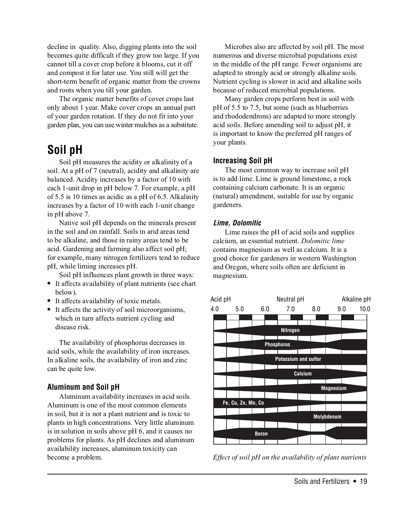decline in quality. Also, digging plants into the soil becomes quite difficult if they grow too large. If you cannot till a cover crop before it blooms, cut it off and compost it for later use. You still will get the short-term benefit of organic matter from the crowns and roots when you till your garden.

The organic matter benefits of cover crops last only about 1 year. Make cover crops an annual part of your garden rotation. If they do not fit into your garden plan, you can use winter mulches as a substitute.

# **Soil pH**

Soil pH measures the acidity or alkalinity of a soil. At a pH of 7 (neutral), acidity and alkalinity are balanced. Acidity increases by a factor of 10 with each 1-unit drop in pH below 7. For example, a pH of 5.5 is 10 times as acidic as a pH of 6.5. Alkalinity increases by a factor of 10 with each 1-unit change in pH above 7.

Native soil pH depends on the minerals present in the soil and on rainfall. Soils in arid areas tend to be alkaline, and those in rainy areas tend to be acid. Gardening and farming also affect soil pH; for example, many nitrogen fertilizers tend to reduce pH, while liming increases pH.

Soil pH influences plant growth in three ways:

- **•** It affects availability of plant nutrients (see chart below).
- **•** It affects availability of toxic metals.
- **•** It affects the activity of soil microorganisms, which in turn affects nutrient cycling and disease risk.

The availability of phosphorus decreases in acid soils, while the availability of iron increases. In alkaline soils, the availability of iron and zinc can be quite low.

### **Aluminum and Soil pH**

Aluminum availability increases in acid soils. Aluminum is one of the most common elements in soil, but it is not a plant nutrient and is toxic to plants in high concentrations. Very little aluminum is in solution in soils above pH 6, and it causes no problems for plants. As pH declines and aluminum availability increases, aluminum toxicity can become a problem.

Microbes also are affected by soil pH. The most numerous and diverse microbial populations exist in the middle of the pH range. Fewer organisms are adapted to strongly acid or strongly alkaline soils. Nutrient cycling is slower in acid and alkaline soils because of reduced microbial populations.

Many garden crops perform best in soil with pH of 5.5 to 7.5, but some (such as blueberries and rhododendrons) are adapted to more strongly acid soils. Before amending soil to adjust pH, it is important to know the preferred pH ranges of your plants.

### **Increasing Soil pH**

The most common way to increase soil pH is to add lime. Lime is ground limestone, a rock containing calcium carbonate. It is an organic (natural) amendment, suitable for use by organic gardeners.

### **Lime, Dolomitic**

Lime raises the pH of acid soils and supplies calcium, an essential nutrient. Dolomitic lime contains magnesium as well as calcium. It is a good choice for gardeners in western Washington and Oregon, where soils often are deficient in magnesium.



Effect of soil pH on the availability of plant nutrients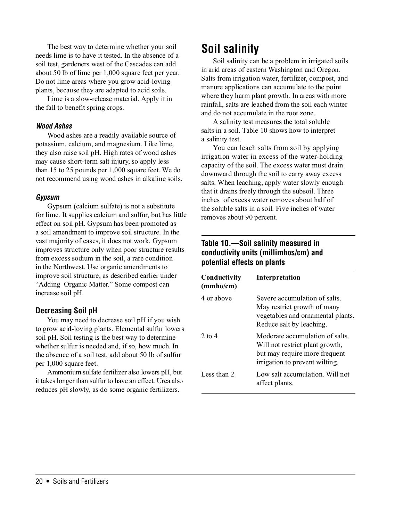The best way to determine whether your soil needs lime is to have it tested. In the absence of a soil test, gardeners west of the Cascades can add about 50 lb of lime per 1,000 square feet per year. Do not lime areas where you grow acid-loving plants, because they are adapted to acid soils.

Lime is a slow-release material. Apply it in the fall to benefit spring crops.

### **Wood Ashes**

Wood ashes are a readily available source of potassium, calcium, and magnesium. Like lime, they also raise soil pH. High rates of wood ashes may cause short-term salt injury, so apply less than 15 to 25 pounds per 1,000 square feet. We do not recommend using wood ashes in alkaline soils.

#### **Gypsum**

Gypsum (calcium sulfate) is not a substitute for lime. It supplies calcium and sulfur, but has little effect on soil pH. Gypsum has been promoted as a soil amendment to improve soil structure. In the vast majority of cases, it does not work. Gypsum improves structure only when poor structure results from excess sodium in the soil, a rare condition in the Northwest. Use organic amendments to improve soil structure, as described earlier under "Adding Organic Matter." Some compost can increase soil pH.

### **Decreasing Soil pH**

You may need to decrease soil pH if you wish to grow acid-loving plants. Elemental sulfur lowers soil pH. Soil testing is the best way to determine whether sulfur is needed and, if so, how much. In the absence of a soil test, add about 50 lb of sulfur per 1,000 square feet.

Ammonium sulfate fertilizer also lowers pH, but it takes longer than sulfur to have an effect. Urea also reduces pH slowly, as do some organic fertilizers.

# **Soil salinity**

Soil salinity can be a problem in irrigated soils in arid areas of eastern Washington and Oregon. Salts from irrigation water, fertilizer, compost, and manure applications can accumulate to the point where they harm plant growth. In areas with more rainfall, salts are leached from the soil each winter and do not accumulate in the root zone.

A salinity test measures the total soluble salts in a soil. Table 10 shows how to interpret a salinity test.

You can leach salts from soil by applying irrigation water in excess of the water-holding capacity of the soil. The excess water must drain downward through the soil to carry away excess salts. When leaching, apply water slowly enough that it drains freely through the subsoil. Three inches of excess water removes about half of the soluble salts in a soil. Five inches of water removes about 90 percent.

### **Table 10.—Soil salinity measured in conductivity units (millimhos/cm) and potential effects on plants**

| Conductivity<br>(mmho/cm) | Interpretation                                                                                                                        |
|---------------------------|---------------------------------------------------------------------------------------------------------------------------------------|
| 4 or above                | Severe accumulation of salts.<br>May restrict growth of many<br>vegetables and ornamental plants.<br>Reduce salt by leaching.         |
| 2 to $4$                  | Moderate accumulation of salts.<br>Will not restrict plant growth,<br>but may require more frequent<br>irrigation to prevent wilting. |
| Less than 2               | Low salt accumulation. Will not<br>affect plants.                                                                                     |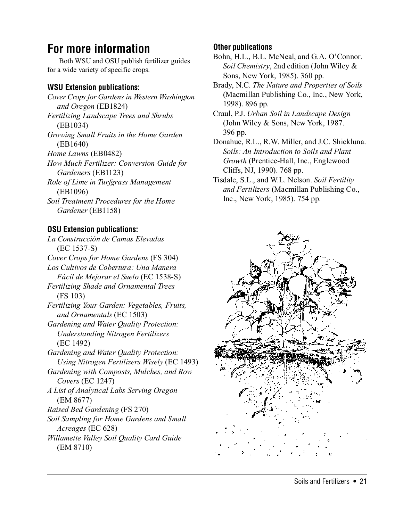# **For more information**

Both WSU and OSU publish fertilizer guides for a wide variety of specific crops.

### **WSU Extension publications:**

Cover Crops for Gardens in Western Washington and Oregon (EB1824) Fertilizing Landscape Trees and Shrubs (EB1034) Growing Small Fruits in the Home Garden (EB1640) Home Lawns (EB0482) How Much Fertilizer: Conversion Guide for Gardeners (EB1123) Role of Lime in Turfgrass Management (EB1096) Soil Treatment Procedures for the Home Gardener (EB1158)

### **OSU Extension publications:**

La Construcción de Camas Elevadas (EC 1537-S) Cover Crops for Home Gardens (FS 304) Los Cultivos de Cobertura: Una Manera Fácil de Mejorar el Suelo (EC 1538-S) Fertilizing Shade and Ornamental Trees (FS 103) Fertilizing Your Garden: Vegetables, Fruits, and Ornamentals (EC 1503) Gardening and Water Quality Protection: Understanding Nitrogen Fertilizers (EC 1492) Gardening and Water Quality Protection: Using Nitrogen Fertilizers Wisely (EC 1493) Gardening with Composts, Mulches, and Row Covers (EC 1247) A List of Analytical Labs Serving Oregon (EM 8677) Raised Bed Gardening (FS 270) Soil Sampling for Home Gardens and Small Acreages (EC 628) Willamette Valley Soil Quality Card Guide (EM 8710)

### **Other publications**

Bohn, H.L., B.L. McNeal, and G.A. O'Connor. Soil Chemistry, 2nd edition (John Wiley & Sons, New York, 1985). 360 pp.

Brady, N.C. The Nature and Properties of Soils (Macmillan Publishing Co., Inc., New York, 1998). 896 pp.

Craul, P.J. Urban Soil in Landscape Design (John Wiley & Sons, New York, 1987. 396 pp.

Donahue, R.L., R.W. Miller, and J.C. Shickluna. Soils: An Introduction to Soils and Plant Growth (Prentice-Hall, Inc., Englewood Cliffs, NJ, 1990). 768 pp.

Tisdale, S.L., and W.L. Nelson. Soil Fertility and Fertilizers (Macmillan Publishing Co., Inc., New York, 1985). 754 pp.

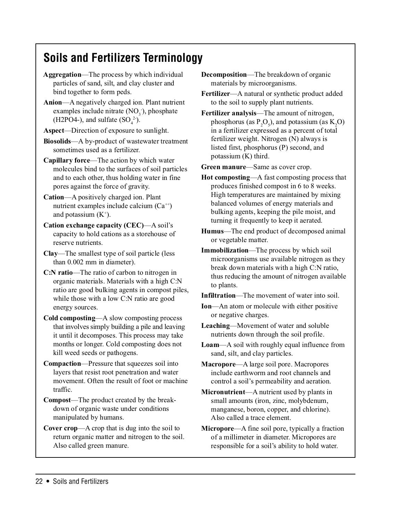# **Soils and Fertilizers Terminology**

- Aggregation—The process by which individual particles of sand, silt, and clay cluster and bind together to form peds.
- Anion—A negatively charged ion. Plant nutrient examples include nitrate  $(NO<sub>3</sub>$ <sup>-</sup>), phosphate (H2PO4-), and sulfate  $(SO_4^2)$ .
- Aspect—Direction of exposure to sunlight.
- Biosolids—A by-product of wastewater treatment sometimes used as a fertilizer.
- Capillary force—The action by which water molecules bind to the surfaces of soil particles and to each other, thus holding water in fine pores against the force of gravity.
- Cation—A positively charged ion. Plant nutrient examples include calcium  $(Ca^{+})$ and potassium  $(K^+)$ .
- Cation exchange capacity (CEC)—A soil's capacity to hold cations as a storehouse of reserve nutrients.
- Clay—The smallest type of soil particle (less than 0.002 mm in diameter).
- C:N ratio—The ratio of carbon to nitrogen in organic materials. Materials with a high C:N ratio are good bulking agents in compost piles, while those with a low C:N ratio are good energy sources.
- Cold composting—A slow composting process that involves simply building a pile and leaving it until it decomposes. This process may take months or longer. Cold composting does not kill weed seeds or pathogens.
- Compaction—Pressure that squeezes soil into layers that resist root penetration and water movement. Often the result of foot or machine traffic.
- Compost—The product created by the breakdown of organic waste under conditions manipulated by humans.
- Cover crop—A crop that is dug into the soil to return organic matter and nitrogen to the soil. Also called green manure.
- Decomposition—The breakdown of organic materials by microorganisms.
- Fertilizer—A natural or synthetic product added to the soil to supply plant nutrients.
- Fertilizer analysis—The amount of nitrogen, phosphorus (as  $P_2O_5$ ), and potassium (as  $K_2O$ ) in a fertilizer expressed as a percent of total fertilizer weight. Nitrogen (N) always is listed first, phosphorus (P) second, and potassium (K) third.

Green manure—Same as cover crop.

- Hot composting—A fast composting process that produces finished compost in 6 to 8 weeks. High temperatures are maintained by mixing balanced volumes of energy materials and bulking agents, keeping the pile moist, and turning it frequently to keep it aerated.
- Humus—The end product of decomposed animal or vegetable matter.
- Immobilization—The process by which soil microorganisms use available nitrogen as they break down materials with a high C:N ratio, thus reducing the amount of nitrogen available to plants.

Infiltration—The movement of water into soil.

- Ion—An atom or molecule with either positive or negative charges.
- Leaching—Movement of water and soluble nutrients down through the soil profile.
- Loam—A soil with roughly equal influence from sand, silt, and clay particles.
- Macropore—A large soil pore. Macropores include earthworm and root channels and control a soil's permeability and aeration.
- Micronutrient—A nutrient used by plants in small amounts (iron, zinc, molybdenum, manganese, boron, copper, and chlorine). Also called a trace element.
- Micropore—A fine soil pore, typically a fraction of a millimeter in diameter. Micropores are responsible for a soil's ability to hold water.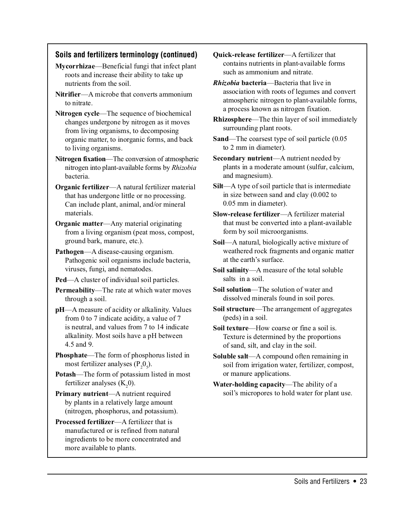### **Soils and fertilizers terminology (continued)**

- Mycorrhizae—Beneficial fungi that infect plant roots and increase their ability to take up nutrients from the soil.
- Nitrifier—A microbe that converts ammonium to nitrate.
- Nitrogen cycle—The sequence of biochemical changes undergone by nitrogen as it moves from living organisms, to decomposing organic matter, to inorganic forms, and back to living organisms.
- Nitrogen fixation—The conversion of atmospheric nitrogen into plant-available forms by Rhizobia bacteria.
- Organic fertilizer—A natural fertilizer material that has undergone little or no processing. Can include plant, animal, and/or mineral materials.
- Organic matter—Any material originating from a living organism (peat moss, compost, ground bark, manure, etc.).
- Pathogen—A disease-causing organism. Pathogenic soil organisms include bacteria, viruses, fungi, and nematodes.
- Ped—A cluster of individual soil particles.
- Permeability—The rate at which water moves through a soil.
- pH—A measure of acidity or alkalinity. Values from 0 to 7 indicate acidity, a value of 7 is neutral, and values from 7 to 14 indicate alkalinity. Most soils have a pH between 4.5 and 9.
- Phosphate—The form of phosphorus listed in most fertilizer analyses  $(P_2O_5)$ .
- Potash—The form of potassium listed in most fertilizer analyses  $(K_2 0)$ .
- Primary nutrient—A nutrient required by plants in a relatively large amount (nitrogen, phosphorus, and potassium).
- Processed fertilizer—A fertilizer that is manufactured or is refined from natural ingredients to be more concentrated and more available to plants.
- Quick-release fertilizer—A fertilizer that contains nutrients in plant-available forms such as ammonium and nitrate.
- Rhizobia bacteria—Bacteria that live in association with roots of legumes and convert atmospheric nitrogen to plant-available forms, a process known as nitrogen fixation.
- Rhizosphere—The thin layer of soil immediately surrounding plant roots.
- Sand—The coarsest type of soil particle (0.05 to 2 mm in diameter).
- Secondary nutrient—A nutrient needed by plants in a moderate amount (sulfur, calcium, and magnesium).
- Silt—A type of soil particle that is intermediate in size between sand and clay (0.002 to 0.05 mm in diameter).
- Slow-release fertilizer—A fertilizer material that must be converted into a plant-available form by soil microorganisms.
- Soil—A natural, biologically active mixture of weathered rock fragments and organic matter at the earth's surface.
- Soil salinity—A measure of the total soluble salts in a soil.
- Soil solution—The solution of water and dissolved minerals found in soil pores.
- Soil structure—The arrangement of aggregates (peds) in a soil.
- Soil texture—How coarse or fine a soil is. Texture is determined by the proportions of sand, silt, and clay in the soil.
- Soluble salt—A compound often remaining in soil from irrigation water, fertilizer, compost, or manure applications.
- Water-holding capacity—The ability of a soil's micropores to hold water for plant use.